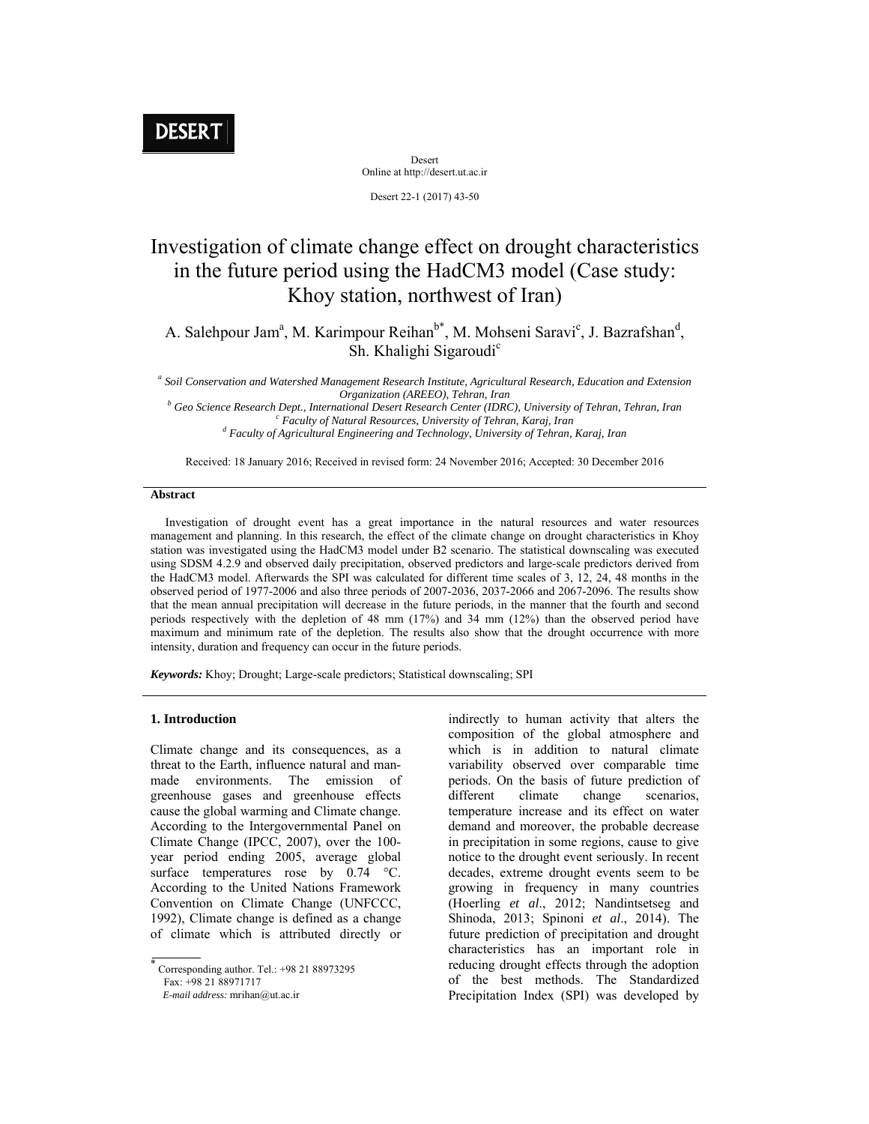Desert Online at http://desert.ut.ac.ir

Desert 22-1 (2017) 43-50

# Investigation of climate change effect on drought characteristics in the future period using the HadCM3 model (Case study: Khoy station, northwest of Iran)

A. Salehpour Jam<sup>a</sup>, M. Karimpour Reihan<sup>b\*</sup>, M. Mohseni Saravi<sup>c</sup>, J. Bazrafshan<sup>d</sup>, Sh. Khalighi Sigaroudi<sup>c</sup>

*a Soil Conservation and Watershed Management Research Institute, Agricultural Research, Education and Extension Organization (AREEO), Tehran, Iran*<br><sup>b</sup> Cee Seisuse Bessauch Dept. Jutemational Desent Bessauch Center (JDBC *Geo Science Research Dept., International Desert Research Center (IDRC), University of Tehran, Tehran, Iran* can control control and control and control and control and control and control and control and control and cont *Faculty of Natural Resources, University of Tehran, Karaj, Iran* 

 *Faculty of Agricultural Engineering and Technology, University of Tehran, Karaj, Iran* 

Received: 18 January 2016; Received in revised form: 24 November 2016; Accepted: 30 December 2016

#### **Abstract**

 Investigation of drought event has a great importance in the natural resources and water resources management and planning. In this research, the effect of the climate change on drought characteristics in Khoy station was investigated using the HadCM3 model under B2 scenario. The statistical downscaling was executed using SDSM 4.2.9 and observed daily precipitation, observed predictors and large-scale predictors derived from the HadCM3 model. Afterwards the SPI was calculated for different time scales of 3, 12, 24, 48 months in the observed period of 1977-2006 and also three periods of 2007-2036, 2037-2066 and 2067-2096. The results show that the mean annual precipitation will decrease in the future periods, in the manner that the fourth and second periods respectively with the depletion of 48 mm (17%) and 34 mm (12%) than the observed period have maximum and minimum rate of the depletion. The results also show that the drought occurrence with more intensity, duration and frequency can occur in the future periods.

*Keywords:* Khoy; Drought; Large-scale predictors; Statistical downscaling; SPI

# **1. Introduction**

Climate change and its consequences, as a threat to the Earth, influence natural and manmade environments. The emission of greenhouse gases and greenhouse effects cause the global warming and Climate change. According to the Intergovernmental Panel on Climate Change (IPCC, 2007), over the 100 year period ending 2005, average global surface temperatures rose by 0.74 °C. According to the United Nations Framework Convention on Climate Change (UNFCCC, 1992), Climate change is defined as a change of climate which is attributed directly or

 *E-mail address:* mrihan@ut.ac.ir

indirectly to human activity that alters the composition of the global atmosphere and which is in addition to natural climate variability observed over comparable time periods. On the basis of future prediction of different climate change scenarios, temperature increase and its effect on water demand and moreover, the probable decrease in precipitation in some regions, cause to give notice to the drought event seriously. In recent decades, extreme drought events seem to be growing in frequency in many countries (Hoerling *et al*., 2012; Nandintsetseg and Shinoda, 2013; Spinoni *et al*., 2014). The future prediction of precipitation and drought characteristics has an important role in reducing drought effects through the adoption of the best methods. The Standardized Precipitation Index (SPI) was developed by

<sup>÷</sup>  Corresponding author. Tel.: +98 21 88973295 Fax: +98 21 88971717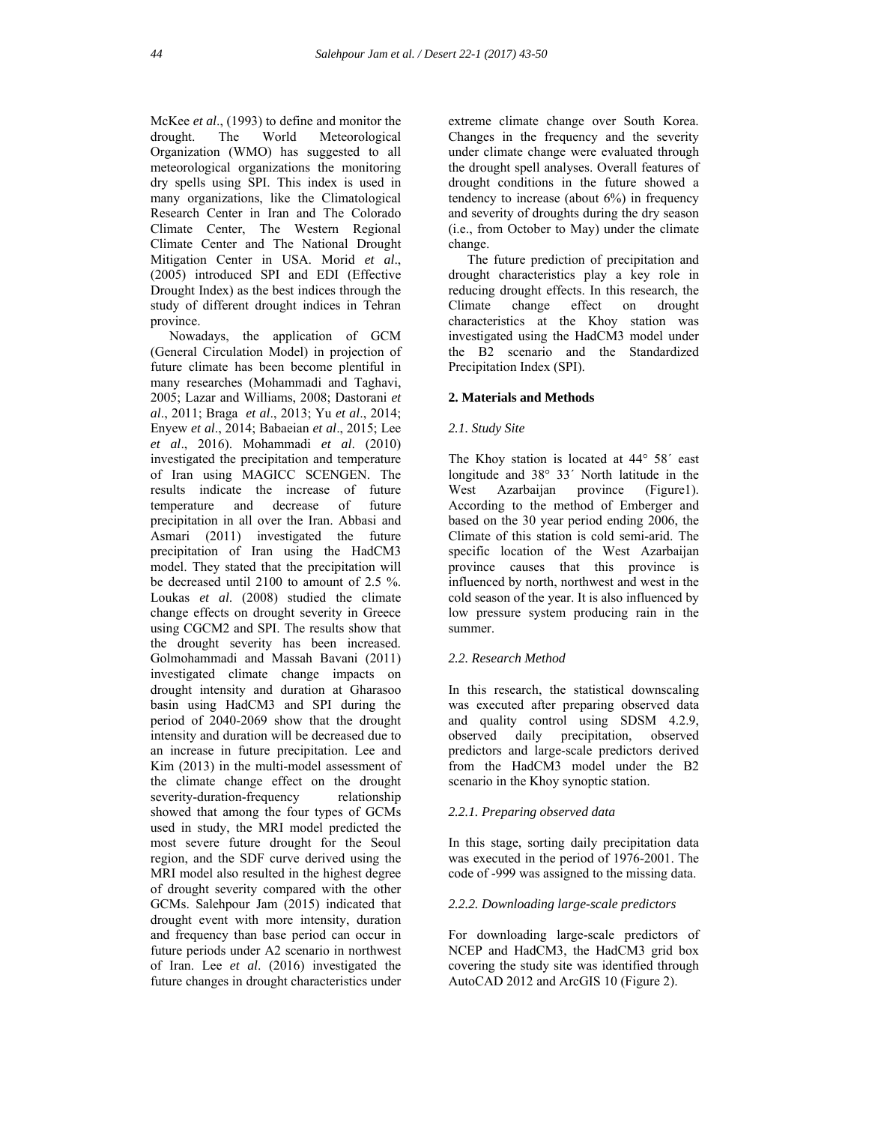McKee *et al*., (1993) to define and monitor the drought. The World Meteorological Organization (WMO) has suggested to all meteorological organizations the monitoring dry spells using SPI. This index is used in many organizations, like the Climatological Research Center in Iran and The Colorado Climate Center, The Western Regional Climate Center and The National Drought Mitigation Center in USA. Morid *et al*., (2005) introduced SPI and EDI (Effective Drought Index) as the best indices through the study of different drought indices in Tehran province.

Nowadays, the application of GCM (General Circulation Model) in projection of future climate has been become plentiful in many researches (Mohammadi and Taghavi, 2005; Lazar and Williams, 2008; Dastorani *et al*., 2011; Braga *et al*., 2013; Yu *et al*., 2014; Enyew *et al*., 2014; Babaeian *et al*., 2015; Lee *et al*., 2016). Mohammadi *et al*. (2010) investigated the precipitation and temperature of Iran using MAGICC SCENGEN. The results indicate the increase of future temperature and decrease of future precipitation in all over the Iran. Abbasi and Asmari (2011) investigated the future precipitation of Iran using the HadCM3 model. They stated that the precipitation will be decreased until 2100 to amount of 2.5 %. Loukas *et al*. (2008) studied the climate change effects on drought severity in Greece using CGCM2 and SPI. The results show that the drought severity has been increased. Golmohammadi and Massah Bavani (2011) investigated climate change impacts on drought intensity and duration at Gharasoo basin using HadCM3 and SPI during the period of 2040-2069 show that the drought intensity and duration will be decreased due to an increase in future precipitation. Lee and Kim (2013) in the multi-model assessment of the climate change effect on the drought severity-duration-frequency relationship showed that among the four types of GCMs used in study, the MRI model predicted the most severe future drought for the Seoul region, and the SDF curve derived using the MRI model also resulted in the highest degree of drought severity compared with the other GCMs. Salehpour Jam (2015) indicated that drought event with more intensity, duration and frequency than base period can occur in future periods under A2 scenario in northwest of Iran. Lee *et al*. (2016) investigated the future changes in drought characteristics under

extreme climate change over South Korea. Changes in the frequency and the severity under climate change were evaluated through the drought spell analyses. Overall features of drought conditions in the future showed a tendency to increase (about 6%) in frequency and severity of droughts during the dry season (i.e., from October to May) under the climate change.

The future prediction of precipitation and drought characteristics play a key role in reducing drought effects. In this research, the Climate change effect on drought characteristics at the Khoy station was investigated using the HadCM3 model under the B2 scenario and the Standardized Precipitation Index (SPI).

# **2. Materials and Methods**

#### *2.1. Study Site*

The Khoy station is located at 44° 58´ east longitude and 38° 33´ North latitude in the West Azarbaijan province (Figure1). According to the method of Emberger and based on the 30 year period ending 2006, the Climate of this station is cold semi-arid. The specific location of the West Azarbaijan province causes that this province is influenced by north, northwest and west in the cold season of the year. It is also influenced by low pressure system producing rain in the summer.

# *2.2. Research Method*

In this research, the statistical downscaling was executed after preparing observed data and quality control using SDSM 4.2.9, observed daily precipitation, observed predictors and large-scale predictors derived from the HadCM3 model under the B2 scenario in the Khoy synoptic station.

# *2.2.1. Preparing observed data*

In this stage, sorting daily precipitation data was executed in the period of 1976-2001. The code of -999 was assigned to the missing data.

# *2.2.2. Downloading large-scale predictors*

For downloading large-scale predictors of NCEP and HadCM3, the HadCM3 grid box covering the study site was identified through AutoCAD 2012 and ArcGIS 10 (Figure 2).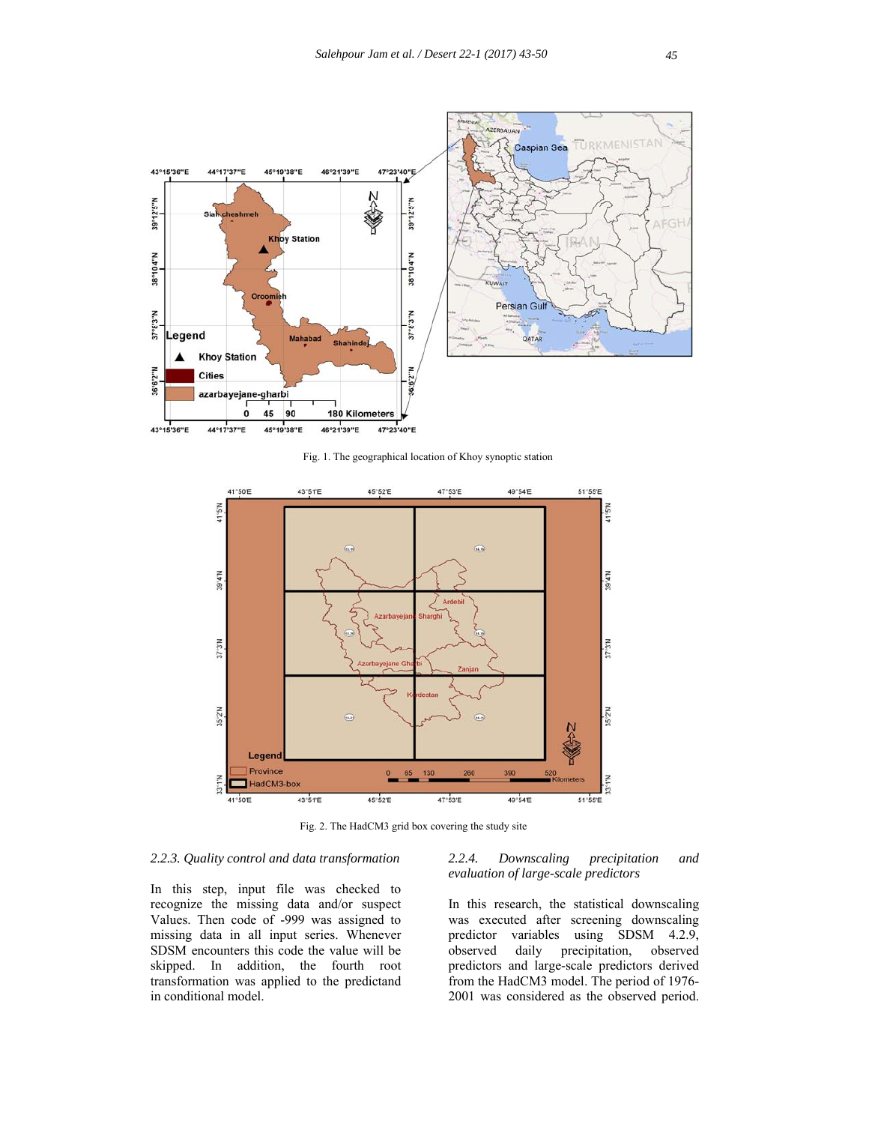

Fig. 1. The geographical location of Khoy synoptic station



Fig. 2. The HadCM3 grid box covering the study site

# *2.2.3. Quality control and data transformation*

In this step, input file was checked to recognize the missing data and/or suspect Values. Then code of -999 was assigned to missing data in all input series. Whenever SDSM encounters this code the value will be skipped. In addition, the fourth root transformation was applied to the predictand in conditional model.

# *2.2.4. Downscaling precipitation and evaluation of large-scale predictors*

In this research, the statistical downscaling was executed after screening downscaling predictor variables using SDSM 4.2.9, observed daily precipitation, observed predictors and large-scale predictors derived from the HadCM3 model. The period of 1976- 2001 was considered as the observed period.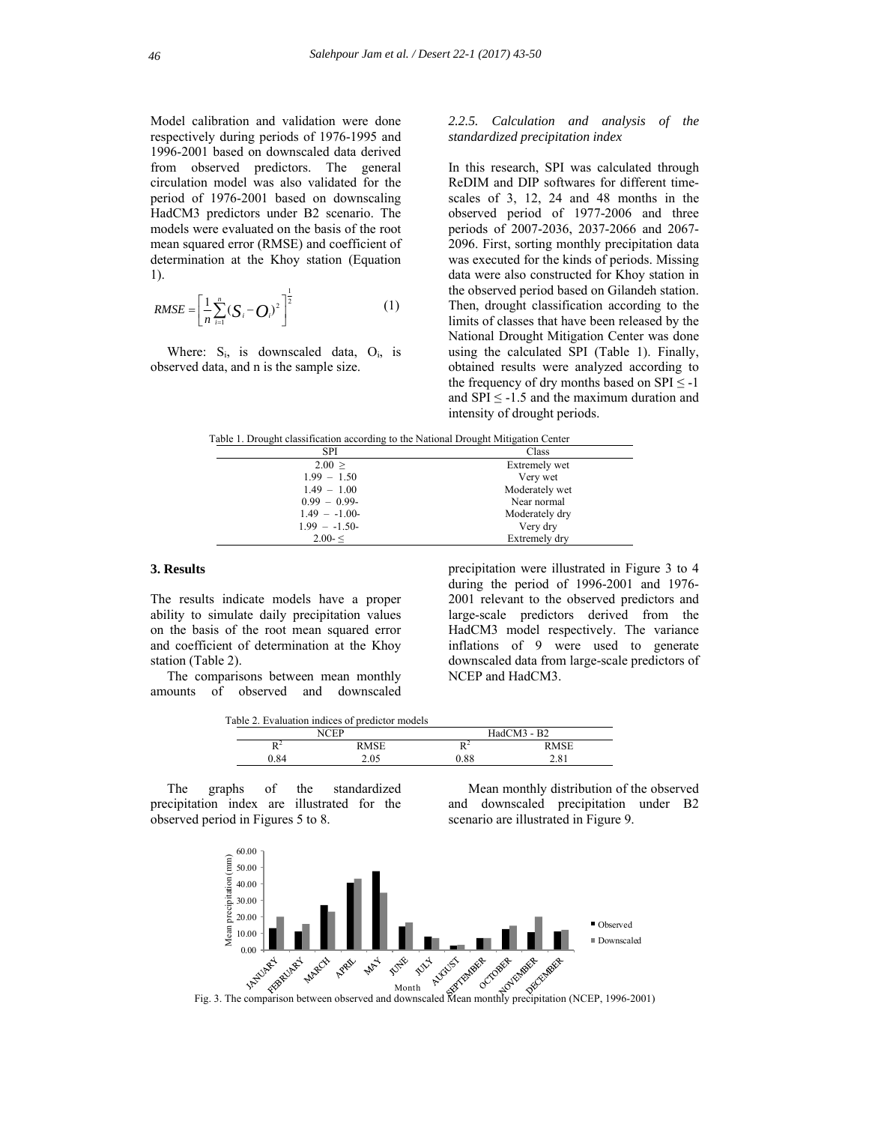Model calibration and validation were done respectively during periods of 1976-1995 and 1996-2001 based on downscaled data derived from observed predictors. The general circulation model was also validated for the period of 1976-2001 based on downscaling HadCM3 predictors under B2 scenario. The models were evaluated on the basis of the root mean squared error (RMSE) and coefficient of determination at the Khoy station (Equation 1).

$$
RMSE = \left[\frac{1}{n}\sum_{i=1}^{n} (S_i - O_i)^2\right]^{\frac{1}{2}}
$$
 (1)

Where:  $S_i$ , is downscaled data,  $O_i$ , is observed data, and n is the sample size.

# *2.2.5. Calculation and analysis of the standardized precipitation index*

In this research, SPI was calculated through ReDIM and DIP softwares for different timescales of 3, 12, 24 and 48 months in the observed period of 1977-2006 and three periods of 2007-2036, 2037-2066 and 2067- 2096. First, sorting monthly precipitation data was executed for the kinds of periods. Missing data were also constructed for Khoy station in the observed period based on Gilandeh station. Then, drought classification according to the limits of classes that have been released by the National Drought Mitigation Center was done using the calculated SPI (Table 1). Finally, obtained results were analyzed according to the frequency of dry months based on  $SPI \le -1$ and  $SPI \le -1.5$  and the maximum duration and intensity of drought periods.

Table 1. Drought classification according to the National Drought Mitigation Center

| <b>SPI</b>     | Class          |
|----------------|----------------|
| 2.00 >         | Extremely wet  |
| $1.99 - 1.50$  | Very wet       |
| $1.49 - 1.00$  | Moderately wet |
| $0.99 - 0.99$  | Near normal    |
| $1.49 - -1.00$ | Moderately dry |
| $1.99 - -1.50$ | Very dry       |
| $2.00 - 5$     | Extremely dry  |

# **3. Results**

The results indicate models have a proper ability to simulate daily precipitation values on the basis of the root mean squared error and coefficient of determination at the Khoy station (Table 2).

 The comparisons between mean monthly amounts of observed and downscaled precipitation were illustrated in Figure 3 to 4 during the period of 1996-2001 and 1976- 2001 relevant to the observed predictors and large-scale predictors derived from the HadCM3 model respectively. The variance inflations of 9 were used to generate downscaled data from large-scale predictors of NCEP and HadCM3.

Table 2. Evaluation indices of predictor models

| .                   | .           |                     |             |  |  |  |
|---------------------|-------------|---------------------|-------------|--|--|--|
|                     | CED         |                     | HadCM3 - B2 |  |  |  |
| D <sup>2</sup><br>A | <b>RMSE</b> | n <sup>2</sup><br>v | 2 M S E     |  |  |  |
| ) 84                | 2.05        | 0.88                | 2.81        |  |  |  |

 The graphs of the standardized precipitation index are illustrated for the observed period in Figures 5 to 8.

 Mean monthly distribution of the observed and downscaled precipitation under B2 scenario are illustrated in Figure 9.

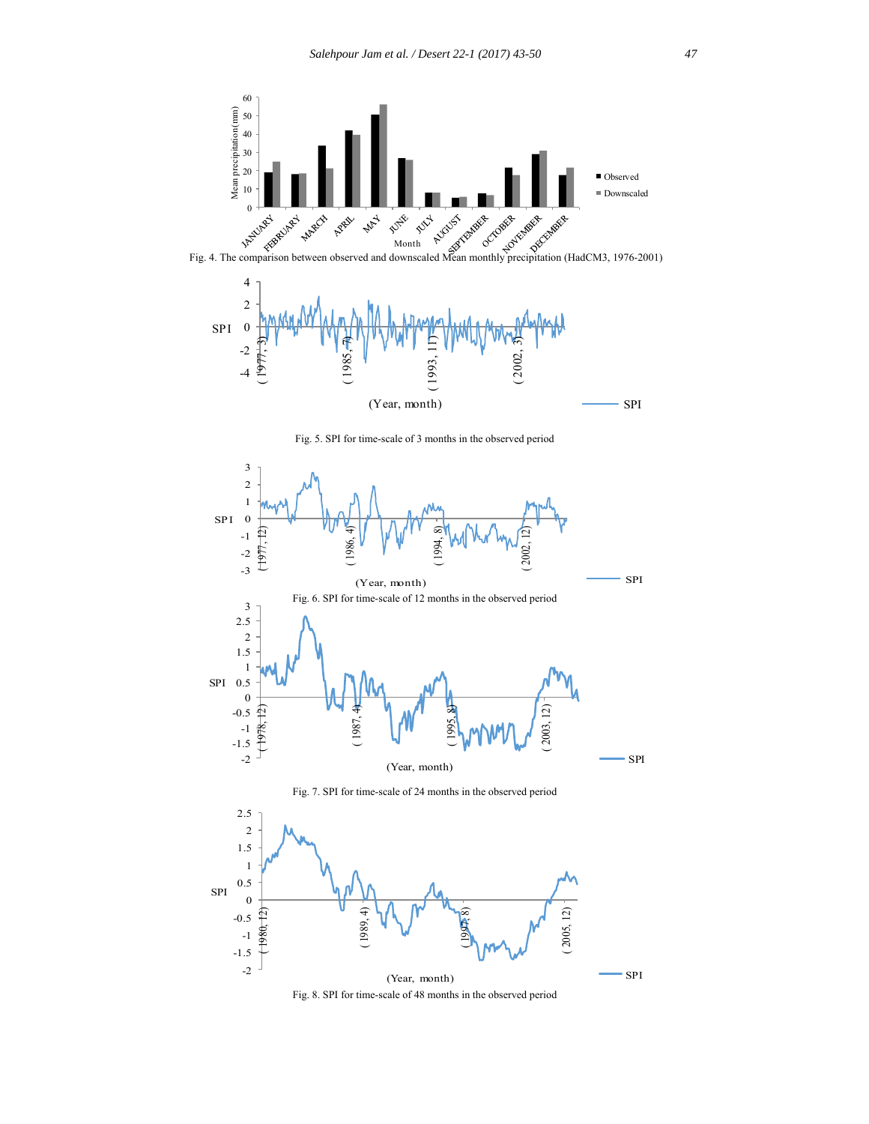



Fig. 5. SPI for time-scale of 3 months in the observed period



Fig. 7. SPI for time-scale of 24 months in the observed period



Fig. 8. SPI for time-scale of 48 months in the observed period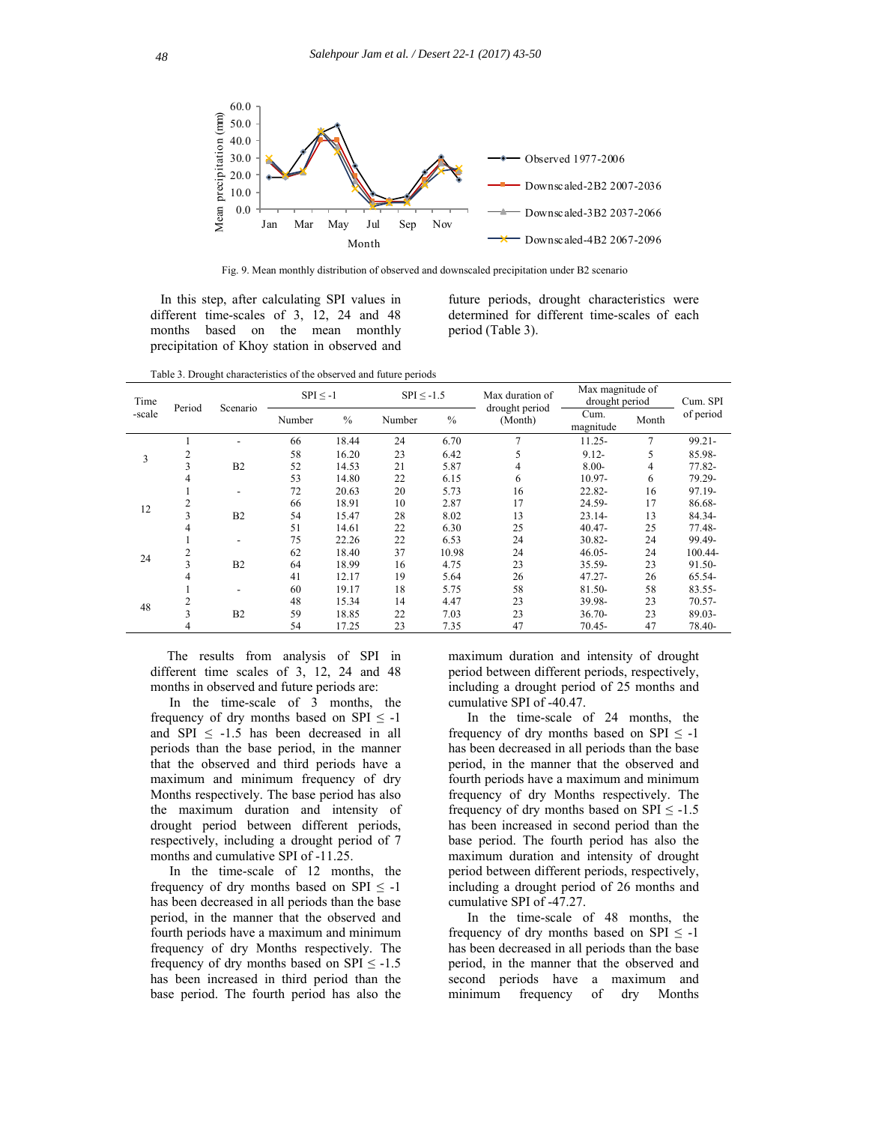

Fig. 9. Mean monthly distribution of observed and downscaled precipitation under B2 scenario

In this step, after calculating SPI values in different time-scales of 3, 12, 24 and 48 months based on the mean monthly precipitation of Khoy station in observed and

future periods, drought characteristics were determined for different time-scales of each period (Table 3).

Table 3. Drought characteristics of the observed and future periods

| Time<br>-scale | Period | Scenario                 | $SPI \le -1$ |       | $SPI \le -1.5$ |       | Max duration of<br>drought period | Max magnitude of<br>drought period |       | Cum. SPI  |
|----------------|--------|--------------------------|--------------|-------|----------------|-------|-----------------------------------|------------------------------------|-------|-----------|
|                |        |                          | Number       | $\%$  | Number         | $\%$  | (Month)                           | Cum.<br>magnitude                  | Month | of period |
| 3              |        |                          | 66           | 18.44 | 24             | 6.70  | 7                                 | $11.25 -$                          | 7     | 99.21-    |
|                | 2      |                          | 58           | 16.20 | 23             | 6.42  | 5                                 | $9.12 -$                           | 5     | 85.98-    |
|                | 3      | B <sub>2</sub>           | 52           | 14.53 | 21             | 5.87  | 4                                 | $8.00 -$                           | 4     | 77.82-    |
|                | 4      |                          | 53           | 14.80 | 22             | 6.15  | 6                                 | $10.97 -$                          | 6     | 79.29-    |
| 12             |        | $\overline{\phantom{a}}$ | 72           | 20.63 | 20             | 5.73  | 16                                | 22.82-                             | 16    | 97.19-    |
|                |        |                          | 66           | 18.91 | 10             | 2.87  | 17                                | 24.59-                             | 17    | 86.68-    |
|                |        | B <sub>2</sub>           | 54           | 15.47 | 28             | 8.02  | 13                                | 23.14-                             | 13    | 84.34-    |
|                | 4      |                          | 51           | 14.61 | 22             | 6.30  | 25                                | $40.47 -$                          | 25    | 77.48-    |
| 24             |        |                          | 75           | 22.26 | 22             | 6.53  | 24                                | 30.82-                             | 24    | 99.49-    |
|                |        |                          | 62           | 18.40 | 37             | 10.98 | 24                                | $46.05 -$                          | 24    | 100.44-   |
|                | 3      | B <sub>2</sub>           | 64           | 18.99 | 16             | 4.75  | 23                                | 35.59-                             | 23    | 91.50-    |
|                | 4      |                          | 41           | 12.17 | 19             | 5.64  | 26                                | 47.27-                             | 26    | 65.54-    |
| 48             |        |                          | 60           | 19.17 | 18             | 5.75  | 58                                | 81.50-                             | 58    | $83.55 -$ |
|                |        |                          | 48           | 15.34 | 14             | 4.47  | 23                                | 39.98-                             | 23    | $70.57 -$ |
|                | 3      | B <sub>2</sub>           | 59           | 18.85 | 22             | 7.03  | 23                                | $36.70 -$                          | 23    | 89.03-    |
|                | 4      |                          | 54           | 17.25 | 23             | 7.35  | 47                                | 70.45-                             | 47    | 78.40-    |

 The results from analysis of SPI in different time scales of 3, 12, 24 and 48 months in observed and future periods are:

In the time-scale of 3 months, the frequency of dry months based on SPI  $\leq$  -1 and SPI  $\leq$  -1.5 has been decreased in all periods than the base period, in the manner that the observed and third periods have a maximum and minimum frequency of dry Months respectively. The base period has also the maximum duration and intensity of drought period between different periods, respectively, including a drought period of 7 months and cumulative SPI of -11.25.

In the time-scale of 12 months, the frequency of dry months based on SPI  $\leq$  -1 has been decreased in all periods than the base period, in the manner that the observed and fourth periods have a maximum and minimum frequency of dry Months respectively. The frequency of dry months based on SPI  $\leq$  -1.5 has been increased in third period than the base period. The fourth period has also the maximum duration and intensity of drought period between different periods, respectively, including a drought period of 25 months and cumulative SPI of -40.47.

In the time-scale of 24 months, the frequency of dry months based on SPI  $\leq$  -1 has been decreased in all periods than the base period, in the manner that the observed and fourth periods have a maximum and minimum frequency of dry Months respectively. The frequency of dry months based on SPI  $\leq$  -1.5 has been increased in second period than the base period. The fourth period has also the maximum duration and intensity of drought period between different periods, respectively, including a drought period of 26 months and cumulative SPI of -47.27.

In the time-scale of 48 months, the frequency of dry months based on SPI  $\leq$  -1 has been decreased in all periods than the base period, in the manner that the observed and second periods have a maximum and minimum frequency of dry Months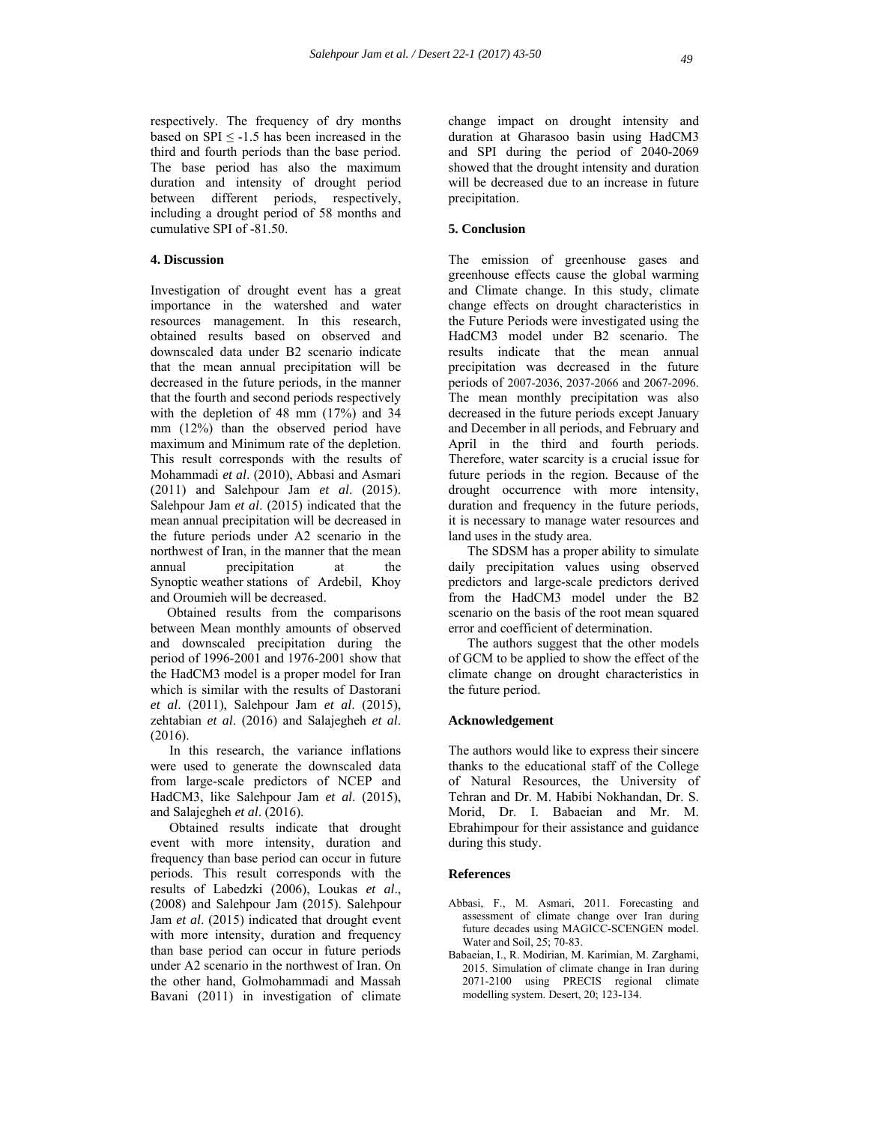respectively. The frequency of dry months based on SPI  $\leq$  -1.5 has been increased in the third and fourth periods than the base period. The base period has also the maximum duration and intensity of drought period between different periods, respectively, including a drought period of 58 months and cumulative SPI of -81.50.

# **4. Discussion**

Investigation of drought event has a great importance in the watershed and water resources management. In this research, obtained results based on observed and downscaled data under B2 scenario indicate that the mean annual precipitation will be decreased in the future periods, in the manner that the fourth and second periods respectively with the depletion of 48 mm  $(17%)$  and 34 mm (12%) than the observed period have maximum and Minimum rate of the depletion. This result corresponds with the results of Mohammadi *et al*. (2010), Abbasi and Asmari (2011) and Salehpour Jam *et al*. (2015). Salehpour Jam *et al*. (2015) indicated that the mean annual precipitation will be decreased in the future periods under A2 scenario in the northwest of Iran, in the manner that the mean annual precipitation at the Synoptic weather stations of Ardebil, Khoy and Oroumieh will be decreased.

 Obtained results from the comparisons between Mean monthly amounts of observed and downscaled precipitation during the period of 1996-2001 and 1976-2001 show that the HadCM3 model is a proper model for Iran which is similar with the results of Dastorani *et al*. (2011), Salehpour Jam *et al*. (2015), zehtabian *et al*. (2016) and Salajegheh *et al*. (2016).

In this research, the variance inflations were used to generate the downscaled data from large-scale predictors of NCEP and HadCM3, like Salehpour Jam *et al*. (2015), and Salajegheh *et al*. (2016).

Obtained results indicate that drought event with more intensity, duration and frequency than base period can occur in future periods. This result corresponds with the results of Labedzki (2006), Loukas *et al*., (2008) and Salehpour Jam (2015). Salehpour Jam *et al*. (2015) indicated that drought event with more intensity, duration and frequency than base period can occur in future periods under A2 scenario in the northwest of Iran. On the other hand, Golmohammadi and Massah Bavani (2011) in investigation of climate change impact on drought intensity and duration at Gharasoo basin using HadCM3 and SPI during the period of 2040-2069 showed that the drought intensity and duration will be decreased due to an increase in future precipitation.

# **5. Conclusion**

The emission of greenhouse gases and greenhouse effects cause the global warming and Climate change. In this study, climate change effects on drought characteristics in the Future Periods were investigated using the HadCM3 model under B2 scenario. The results indicate that the mean annual precipitation was decreased in the future periods of 2007-2036, 2037-2066 and 2067-2096. The mean monthly precipitation was also decreased in the future periods except January and December in all periods, and February and April in the third and fourth periods. Therefore, water scarcity is a crucial issue for future periods in the region. Because of the drought occurrence with more intensity, duration and frequency in the future periods, it is necessary to manage water resources and land uses in the study area.

The SDSM has a proper ability to simulate daily precipitation values using observed predictors and large-scale predictors derived from the HadCM3 model under the B2 scenario on the basis of the root mean squared error and coefficient of determination.

The authors suggest that the other models of GCM to be applied to show the effect of the climate change on drought characteristics in the future period.

#### **Acknowledgement**

The authors would like to express their sincere thanks to the educational staff of the College of Natural Resources, the University of Tehran and Dr. M. Habibi Nokhandan, Dr. S. Morid, Dr. I. Babaeian and Mr. M. Ebrahimpour for their assistance and guidance during this study.

#### **References**

- Abbasi, F., M. Asmari, 2011. Forecasting and assessment of climate change over Iran during future decades using MAGICC-SCENGEN model. Water and Soil, 25; 70-83.
- Babaeian, I., R. Modirian, M. Karimian, M. Zarghami, 2015. Simulation of climate change in Iran during 2071-2100 using PRECIS regional climate modelling system. Desert, 20; 123-134.